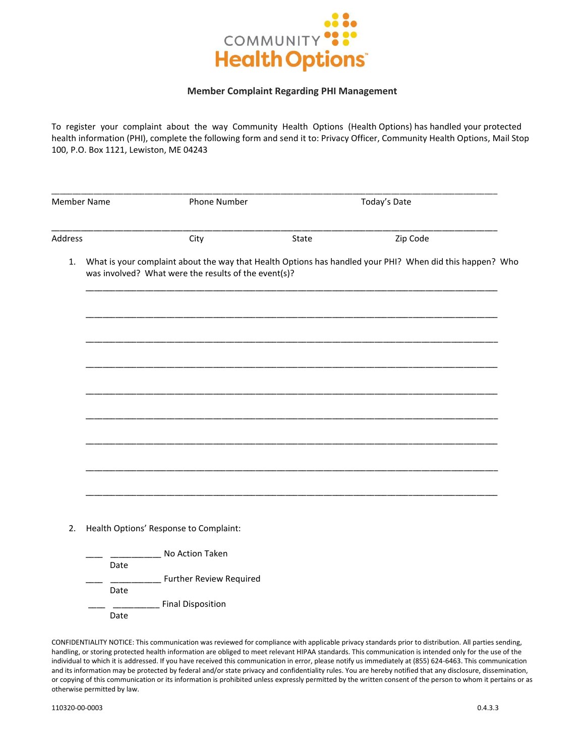

## **Member Complaint Regarding PHI Management**

To register your complaint about the way Community Health Options (Health Options) has handled your protected health information (PHI), complete the following form and send it to: Privacy Officer, Community Health Options, Mail Stop 100, P.O. Box 1121, Lewiston, ME 04243

| <b>Member Name</b> |                                                                                                                                                                  | <b>Phone Number</b> | Today's Date |          |  |  |
|--------------------|------------------------------------------------------------------------------------------------------------------------------------------------------------------|---------------------|--------------|----------|--|--|
| Address            |                                                                                                                                                                  | City                | State        | Zip Code |  |  |
| 1.                 | What is your complaint about the way that Health Options has handled your PHI? When did this happen? Who<br>was involved? What were the results of the event(s)? |                     |              |          |  |  |
|                    |                                                                                                                                                                  |                     |              |          |  |  |
|                    |                                                                                                                                                                  |                     |              |          |  |  |
|                    |                                                                                                                                                                  |                     |              |          |  |  |
|                    |                                                                                                                                                                  |                     |              |          |  |  |
|                    |                                                                                                                                                                  |                     |              |          |  |  |
|                    |                                                                                                                                                                  |                     |              |          |  |  |

i Options' Response to Complair

|      | No Action Taken                |
|------|--------------------------------|
| Date |                                |
|      | <b>Further Review Required</b> |
| Date |                                |
|      | <b>Final Disposition</b>       |
| Date |                                |

CONFIDENTIALITY NOTICE: This communication was reviewed for compliance with applicable privacy standards prior to distribution. All parties sending, handling, or storing protected health information are obliged to meet relevant HIPAA standards. This communication is intended only for the use of the individual to which it is addressed. If you have received this communication in error, please notify us immediately at (855) 624-6463. This communication and its information may be protected by federal and/or state privacy and confidentiality rules. You are hereby notified that any disclosure, dissemination, or copying of this communication or its information is prohibited unless expressly permitted by the written consent of the person to whom it pertains or as otherwise permitted by law.